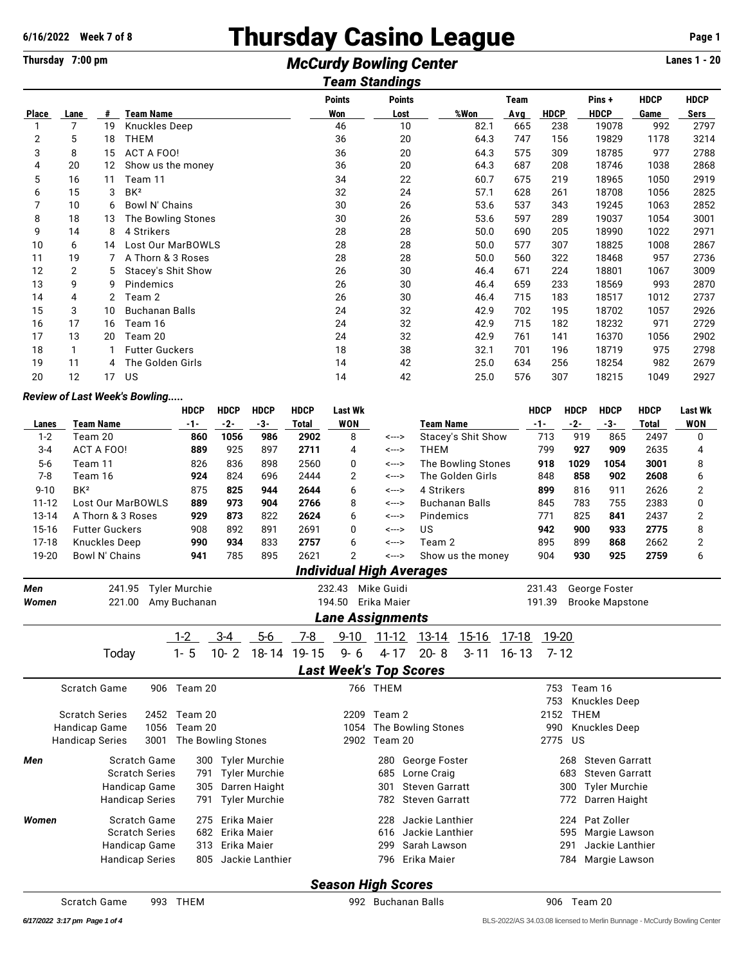## **6/16/2022 Week 7 of 8**<br>
Thursday 7:00 pm<br> **McCurdy Rowling Center**<br>
McCurdy Rowling Center<br> **Example 20**

## **Thursday 7:00 pm McCurdy Bowling Center** *Team Standings*

|              |                                                                               |    |                       |     | ı eam ətanumus |      |     |             |             |      |      |  |  |  |
|--------------|-------------------------------------------------------------------------------|----|-----------------------|-----|----------------|------|-----|-------------|-------------|------|------|--|--|--|
|              | <b>Points</b><br><b>Points</b><br><b>HDCP</b><br><b>HDCP</b><br>Pins+<br>Team |    |                       |     |                |      |     |             |             |      |      |  |  |  |
| <b>Place</b> | Lane                                                                          | #  | <b>Team Name</b>      | Won | Lost           | %Won | Avg | <b>HDCP</b> | <b>HDCP</b> | Game | Sers |  |  |  |
|              | 7                                                                             | 19 | Knuckles Deep         | 46  | 10             | 82.1 | 665 | 238         | 19078       | 992  | 2797 |  |  |  |
| 2            | 5                                                                             | 18 | <b>THEM</b>           | 36  | 20             | 64.3 | 747 | 156         | 19829       | 1178 | 3214 |  |  |  |
| 3            | 8                                                                             | 15 | <b>ACT A FOO!</b>     | 36  | 20             | 64.3 | 575 | 309         | 18785       | 977  | 2788 |  |  |  |
| 4            | 20                                                                            | 12 | Show us the money     | 36  | 20             | 64.3 | 687 | 208         | 18746       | 1038 | 2868 |  |  |  |
| 5            | 16                                                                            | 11 | Team 11               | 34  | 22             | 60.7 | 675 | 219         | 18965       | 1050 | 2919 |  |  |  |
| 6            | 15                                                                            | 3  | BK <sup>2</sup>       | 32  | 24             | 57.1 | 628 | 261         | 18708       | 1056 | 2825 |  |  |  |
|              | 10                                                                            | 6  | Bowl N' Chains        | 30  | 26             | 53.6 | 537 | 343         | 19245       | 1063 | 2852 |  |  |  |
| 8            | 18                                                                            | 13 | The Bowling Stones    | 30  | 26             | 53.6 | 597 | 289         | 19037       | 1054 | 3001 |  |  |  |
| 9            | 14                                                                            | 8  | 4 Strikers            | 28  | 28             | 50.0 | 690 | 205         | 18990       | 1022 | 2971 |  |  |  |
| 10           | 6                                                                             | 14 | Lost Our MarBOWLS     | 28  | 28             | 50.0 | 577 | 307         | 18825       | 1008 | 2867 |  |  |  |
| 11           | 19                                                                            |    | A Thorn & 3 Roses     | 28  | 28             | 50.0 | 560 | 322         | 18468       | 957  | 2736 |  |  |  |
| 12           | 2                                                                             | 5  | Stacey's Shit Show    | 26  | 30             | 46.4 | 671 | 224         | 18801       | 1067 | 3009 |  |  |  |
| 13           | 9                                                                             | 9  | Pindemics             | 26  | 30             | 46.4 | 659 | 233         | 18569       | 993  | 2870 |  |  |  |
| 14           | 4                                                                             |    | Team 2                | 26  | 30             | 46.4 | 715 | 183         | 18517       | 1012 | 2737 |  |  |  |
| 15           | 3                                                                             | 10 | <b>Buchanan Balls</b> | 24  | 32             | 42.9 | 702 | 195         | 18702       | 1057 | 2926 |  |  |  |
| 16           | 17                                                                            | 16 | Team 16               | 24  | 32             | 42.9 | 715 | 182         | 18232       | 971  | 2729 |  |  |  |
| 17           | 13                                                                            | 20 | Team 20               | 24  | 32             | 42.9 | 761 | 141         | 16370       | 1056 | 2902 |  |  |  |
| 18           |                                                                               |    | <b>Futter Guckers</b> | 18  | 38             | 32.1 | 701 | 196         | 18719       | 975  | 2798 |  |  |  |
| 19           | 11                                                                            | 4  | The Golden Girls      | 14  | 42             | 25.0 | 634 | 256         | 18254       | 982  | 2679 |  |  |  |
| 20           | 12                                                                            | 17 | US                    | 14  | 42             | 25.0 | 576 | 307         | 18215       | 1049 | 2927 |  |  |  |
|              |                                                                               |    |                       |     |                |      |     |             |             |      |      |  |  |  |

## *Review of Last Week's Bowling.....*

|           |                                                 | <b>HDCP</b>        | <b>HDCP</b>     | <b>HDCP</b>          | <b>HDCP</b>  | <b>Last Wk</b>                |             |                                 |                       |           | <b>HDCP</b> | <b>HDCP</b> | <b>HDCP</b>            | <b>HDCP</b>  | <b>Last Wk</b> |
|-----------|-------------------------------------------------|--------------------|-----------------|----------------------|--------------|-------------------------------|-------------|---------------------------------|-----------------------|-----------|-------------|-------------|------------------------|--------------|----------------|
| Lanes     | <b>Team Name</b>                                | -1-                | $-2-$           | $-3-$                | <b>Total</b> | <b>WON</b>                    |             | <b>Team Name</b>                |                       |           | $-1-$       | $-2-$       | $-3-$                  | <b>Total</b> | <b>WON</b>     |
| $1 - 2$   | Team 20                                         | 860                | 1056            | 986                  | 2902         | 8                             | <--->       |                                 | Stacey's Shit Show    |           | 713         | 919         | 865                    | 2497         | 0              |
| $3 - 4$   | <b>ACT A FOO!</b>                               | 889                | 925             | 897                  | 2711         | 4                             | <--->       | <b>THEM</b>                     |                       |           | 799         | 927         | 909                    | 2635         | 4              |
| $5-6$     | Team 11                                         | 826                | 836             | 898                  | 2560         | 0                             | <--->       |                                 | The Bowling Stones    |           | 918         | 1029        | 1054                   | 3001         | 8              |
| $7 - 8$   | Team 16                                         | 924                | 824             | 696                  | 2444         | 2                             | <--->       |                                 | The Golden Girls      |           | 848         | 858         | 902                    | 2608         | 6              |
| $9 - 10$  | BK <sup>2</sup>                                 | 875                | 825             | 944                  | 2644         | 6                             | <--->       | 4 Strikers                      |                       |           | 899         | 816         | 911                    | 2626         | 2              |
| $11 - 12$ | Lost Our MarBOWLS                               | 889                | 973             | 904                  | 2766         | 8                             | <--->       |                                 | <b>Buchanan Balls</b> |           |             | 783         | 755                    | 2383         | 0              |
| $13 - 14$ | A Thorn & 3 Roses                               | 929                | 873             | 822                  | 2624         | 6                             | <--->       | Pindemics                       |                       |           | 771         | 825         | 841                    | 2437         | 2              |
| 15-16     | <b>Futter Guckers</b>                           | 908                | 892             | 891                  | 2691         | 0                             | <--->       | US                              |                       |           | 942         | 900         | 933                    | 2775         | 8              |
| $17 - 18$ | <b>Knuckles Deep</b>                            | 990                | 934             | 833                  | 2757         | 6                             | <--->       | Team 2                          |                       |           | 895         | 899         | 868                    | 2662         | $\overline{2}$ |
| 19-20     | Bowl N' Chains                                  | 941                | 785             | 895                  | 2621         | $\overline{2}$                | <--->       |                                 | Show us the money     |           | 904         | 930         | 925                    | 2759         | 6              |
|           |                                                 |                    |                 |                      |              |                               |             | <b>Individual High Averages</b> |                       |           |             |             |                        |              |                |
| Men       | 241.95<br><b>Tyler Murchie</b>                  | Mike Guidi         |                 |                      |              | 231.43                        |             | George Foster                   |                       |           |             |             |                        |              |                |
| Women     | Erika Maier<br>221.00<br>Amy Buchanan<br>194.50 |                    |                 |                      |              |                               |             |                                 |                       |           | 191.39      |             | <b>Brooke Mapstone</b> |              |                |
|           |                                                 |                    |                 |                      |              | <b>Lane Assignments</b>       |             |                                 |                       |           |             |             |                        |              |                |
|           |                                                 | $1-2$              | $3 - 4$         | $5-6$                | $7-8$        | $9 - 10$                      | 11-12       | 13-14                           | 15-16                 | 17-18     | 19-20       |             |                        |              |                |
|           | Today                                           | $1 - 5$            | $10 - 2$        | 18-14                | 19-15        | $9 - 6$                       | $4 - 17$    | $20 - 8$                        | $3 - 11$              | $16 - 13$ |             | $7 - 12$    |                        |              |                |
|           |                                                 |                    |                 |                      |              | <b>Last Week's Top Scores</b> |             |                                 |                       |           |             |             |                        |              |                |
|           | Scratch Game                                    | 906 Team 20        |                 |                      |              |                               | 766 THEM    |                                 |                       |           | 753         | Team 16     |                        |              |                |
|           |                                                 |                    |                 |                      |              |                               |             |                                 |                       |           | 753         |             | <b>Knuckles Deep</b>   |              |                |
|           | <b>Scratch Series</b><br>2452                   | Team 20            |                 |                      |              |                               | 2209 Team 2 |                                 |                       |           | 2152        | <b>THEM</b> |                        |              |                |
|           | Handicap Game<br>1056                           | Team 20            |                 |                      |              | 1054                          |             | The Bowling Stones              |                       |           | 990         |             | <b>Knuckles Deep</b>   |              |                |
|           | 3001<br><b>Handicap Series</b>                  | The Bowling Stones |                 |                      |              | 2902                          | Team 20     |                                 |                       |           | 2775        | US          |                        |              |                |
|           |                                                 |                    |                 |                      |              |                               |             |                                 |                       |           |             |             |                        |              |                |
| Men       | Scratch Game                                    | 300                |                 | <b>Tyler Murchie</b> |              |                               | 280         | George Foster                   |                       |           |             | 268         | <b>Steven Garratt</b>  |              |                |
|           | <b>Scratch Series</b>                           | 791                |                 | <b>Tyler Murchie</b> |              |                               | 685         | Lorne Craig                     |                       |           |             | 683         | <b>Steven Garratt</b>  |              |                |
|           | <b>Handicap Game</b>                            | 305                |                 | Darren Haight        |              |                               | 301         | <b>Steven Garratt</b>           |                       |           |             | 300         | <b>Tyler Murchie</b>   |              |                |
|           | <b>Handicap Series</b>                          | 791                |                 | <b>Tyler Murchie</b> |              |                               | 782         | <b>Steven Garratt</b>           |                       |           |             | 772         | Darren Haight          |              |                |
| Women     | Scratch Game                                    |                    | 275 Erika Maier |                      |              |                               |             | 228 Jackie Lanthier             |                       |           |             |             | 224 Pat Zoller         |              |                |

|       | Scratch Game              |                            | 906 Team 20  |                     |  | 766 THEM     |                         |         | 753 Team 16        |  |  |  |  |
|-------|---------------------------|----------------------------|--------------|---------------------|--|--------------|-------------------------|---------|--------------------|--|--|--|--|
|       |                           |                            |              |                     |  |              |                         |         | 753 Knuckles Deep  |  |  |  |  |
|       | <b>Scratch Series</b>     |                            | 2452 Team 20 |                     |  | 2209 Team 2  |                         | 2152    | THEM               |  |  |  |  |
|       | Handicap Game             | 1056                       | Team 20      |                     |  |              | 1054 The Bowling Stones | 990     | Knuckles Deep      |  |  |  |  |
|       | <b>Handicap Series</b>    | The Bowling Stones<br>3001 |              |                     |  | 2902 Team 20 |                         | 2775 US |                    |  |  |  |  |
| Men   |                           | Scratch Game               |              | 300 Tyler Murchie   |  |              | 280 George Foster       |         | 268 Steven Garratt |  |  |  |  |
|       |                           | <b>Scratch Series</b>      |              | 791 Tyler Murchie   |  |              | 685 Lorne Craig         |         | 683 Steven Garratt |  |  |  |  |
|       |                           | Handicap Game              |              | 305 Darren Haight   |  |              | 301 Steven Garratt      |         | 300 Tyler Murchie  |  |  |  |  |
|       | <b>Handicap Series</b>    |                            |              | 791 Tyler Murchie   |  |              | 782 Steven Garratt      |         | 772 Darren Haight  |  |  |  |  |
| Women |                           | Scratch Game               |              | 275 Erika Maier     |  | 228          | Jackie Lanthier         |         | 224 Pat Zoller     |  |  |  |  |
|       |                           | <b>Scratch Series</b>      |              | 682 Erika Maier     |  |              | 616 Jackie Lanthier     |         | 595 Margie Lawson  |  |  |  |  |
|       |                           | Handicap Game              |              | 313 Erika Maier     |  | 299          | Sarah Lawson            | 291     | Jackie Lanthier    |  |  |  |  |
|       | <b>Handicap Series</b>    |                            |              | 805 Jackie Lanthier |  |              | 796 Erika Maier         |         | 784 Margie Lawson  |  |  |  |  |
|       | <b>Season High Scores</b> |                            |              |                     |  |              |                         |         |                    |  |  |  |  |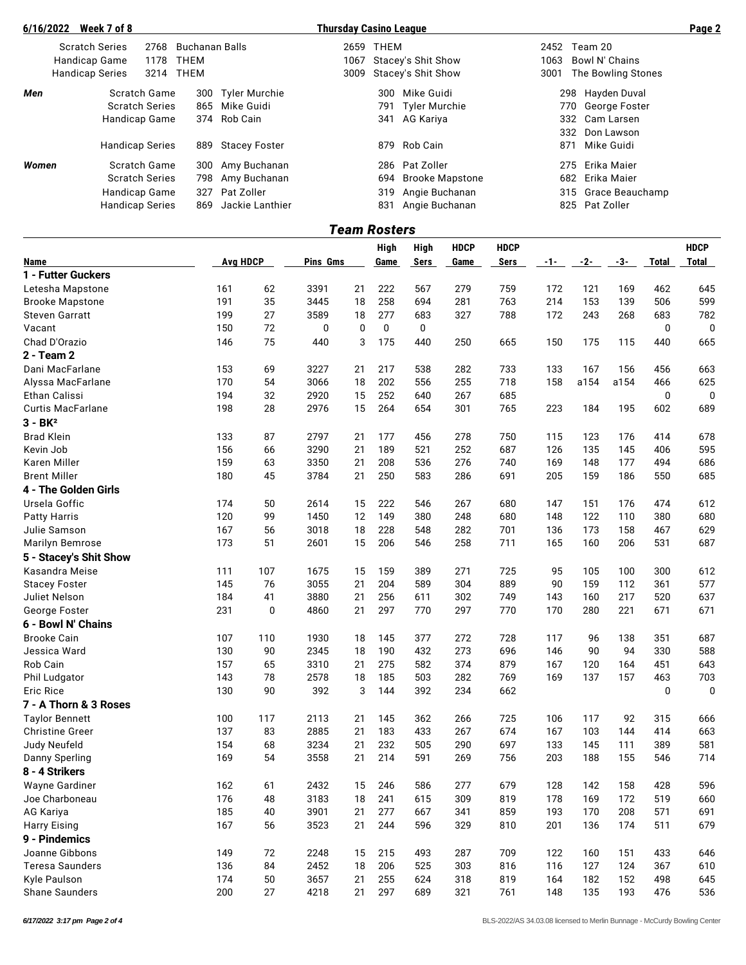| 6/16/2022 | Week 7 of 8 |                                                                  |      |                                                                                                                                                                              |                                                                                                                                                         |     |                        |                                                                                                                |                    | Page 2                                                                 |
|-----------|-------------|------------------------------------------------------------------|------|------------------------------------------------------------------------------------------------------------------------------------------------------------------------------|---------------------------------------------------------------------------------------------------------------------------------------------------------|-----|------------------------|----------------------------------------------------------------------------------------------------------------|--------------------|------------------------------------------------------------------------|
|           |             |                                                                  |      |                                                                                                                                                                              | 2659                                                                                                                                                    |     |                        | 2452                                                                                                           |                    |                                                                        |
|           |             | 1178                                                             | THEM |                                                                                                                                                                              | 1067                                                                                                                                                    |     |                        | 1063                                                                                                           | Bowl N' Chains     |                                                                        |
|           |             | 3214                                                             | THEM |                                                                                                                                                                              |                                                                                                                                                         |     |                        | 3001                                                                                                           | The Bowling Stones |                                                                        |
| Men       |             |                                                                  |      |                                                                                                                                                                              |                                                                                                                                                         | 300 | Mike Guidi             |                                                                                                                | Hayden Duval       |                                                                        |
|           |             |                                                                  |      |                                                                                                                                                                              |                                                                                                                                                         | 791 |                        |                                                                                                                | George Foster      |                                                                        |
|           |             |                                                                  |      |                                                                                                                                                                              |                                                                                                                                                         | 341 | AG Kariya              |                                                                                                                | Cam Larsen         |                                                                        |
|           |             |                                                                  |      |                                                                                                                                                                              |                                                                                                                                                         |     |                        |                                                                                                                | Don Lawson         |                                                                        |
|           |             |                                                                  |      |                                                                                                                                                                              |                                                                                                                                                         | 879 | Rob Cain               |                                                                                                                | Mike Guidi         |                                                                        |
| Women     |             |                                                                  |      |                                                                                                                                                                              |                                                                                                                                                         | 286 | Pat Zoller             |                                                                                                                | Erika Maier        |                                                                        |
|           |             |                                                                  |      |                                                                                                                                                                              |                                                                                                                                                         | 694 | <b>Brooke Mapstone</b> |                                                                                                                | Erika Maier        |                                                                        |
|           |             |                                                                  |      |                                                                                                                                                                              |                                                                                                                                                         |     | Angie Buchanan         |                                                                                                                | Grace Beauchamp    |                                                                        |
|           |             |                                                                  | 869  | Jackie Lanthier                                                                                                                                                              |                                                                                                                                                         | 831 | Angie Buchanan         |                                                                                                                | Pat Zoller         |                                                                        |
|           |             | <b>Scratch Series</b><br>Handicap Game<br><b>Handicap Series</b> |      | 2768<br>Scratch Game<br><b>Scratch Series</b><br>Handicap Game<br><b>Handicap Series</b><br>Scratch Game<br><b>Scratch Series</b><br>Handicap Game<br><b>Handicap Series</b> | Buchanan Balls<br>300 Tyler Murchie<br>865 Mike Guidi<br>374 Rob Cain<br>889<br>Stacey Foster<br>300 Amy Buchanan<br>798 Amy Buchanan<br>327 Pat Zoller |     |                        | <b>Thursday Casino League</b><br>THEM<br>Stacey's Shit Show<br>3009 Stacey's Shit Show<br>Tyler Murchie<br>319 |                    | Team 20<br>298<br>770<br>332<br>332<br>871<br>275<br>682<br>315<br>825 |

|                          |          |             |          |    | <b>Team Rosters</b> |             |             |             |       |       |      |              |              |
|--------------------------|----------|-------------|----------|----|---------------------|-------------|-------------|-------------|-------|-------|------|--------------|--------------|
|                          |          |             |          |    | <b>High</b>         | <b>High</b> | <b>HDCP</b> | <b>HDCP</b> |       |       |      |              | <b>HDCP</b>  |
| Name                     | Avg HDCP |             | Pins Gms |    | Game                | <b>Sers</b> | Game        | Sers        | $-1-$ | $-2-$ | -3-  | <b>Total</b> | <b>Total</b> |
| 1 - Futter Guckers       |          |             |          |    |                     |             |             |             |       |       |      |              |              |
| Letesha Mapstone         | 161      | 62          | 3391     | 21 | 222                 | 567         | 279         | 759         | 172   | 121   | 169  | 462          | 645          |
| <b>Brooke Mapstone</b>   | 191      | 35          | 3445     | 18 | 258                 | 694         | 281         | 763         | 214   | 153   | 139  | 506          | 599          |
| <b>Steven Garratt</b>    | 199      | 27          | 3589     | 18 | 277                 | 683         | 327         | 788         | 172   | 243   | 268  | 683          | 782          |
| Vacant                   | 150      | 72          | 0        | 0  | 0                   | 0           |             |             |       |       |      | 0            | 0            |
| Chad D'Orazio            | 146      | 75          | 440      | 3  | 175                 | 440         | 250         | 665         | 150   | 175   | 115  | 440          | 665          |
| 2 - Team 2               |          |             |          |    |                     |             |             |             |       |       |      |              |              |
| Dani MacFarlane          | 153      | 69          | 3227     | 21 | 217                 | 538         | 282         | 733         | 133   | 167   | 156  | 456          | 663          |
| Alyssa MacFarlane        | 170      | 54          | 3066     | 18 | 202                 | 556         | 255         | 718         | 158   | a154  | a154 | 466          | 625          |
| Ethan Calissi            | 194      | 32          | 2920     | 15 | 252                 | 640         | 267         | 685         |       |       |      | 0            | 0            |
| <b>Curtis MacFarlane</b> | 198      | 28          | 2976     | 15 | 264                 | 654         | 301         | 765         | 223   | 184   | 195  | 602          | 689          |
| $3 - BK2$                |          |             |          |    |                     |             |             |             |       |       |      |              |              |
| <b>Brad Klein</b>        | 133      | 87          | 2797     | 21 | 177                 | 456         | 278         | 750         | 115   | 123   | 176  | 414          | 678          |
| Kevin Job                | 156      | 66          | 3290     | 21 | 189                 | 521         | 252         | 687         | 126   | 135   | 145  | 406          | 595          |
| Karen Miller             | 159      | 63          | 3350     | 21 | 208                 | 536         | 276         | 740         | 169   | 148   | 177  | 494          | 686          |
| <b>Brent Miller</b>      | 180      | 45          | 3784     | 21 | 250                 | 583         | 286         | 691         | 205   | 159   | 186  | 550          | 685          |
| 4 - The Golden Girls     |          |             |          |    |                     |             |             |             |       |       |      |              |              |
| Ursela Goffic            | 174      | 50          | 2614     | 15 | 222                 | 546         | 267         | 680         | 147   | 151   | 176  | 474          | 612          |
| <b>Patty Harris</b>      | 120      | 99          | 1450     | 12 | 149                 | 380         | 248         | 680         | 148   | 122   | 110  | 380          | 680          |
| Julie Samson             | 167      | 56          | 3018     | 18 | 228                 | 548         | 282         | 701         | 136   | 173   | 158  | 467          | 629          |
| Marilyn Bemrose          | 173      | 51          | 2601     | 15 | 206                 | 546         | 258         | 711         | 165   | 160   | 206  | 531          | 687          |
| 5 - Stacey's Shit Show   |          |             |          |    |                     |             |             |             |       |       |      |              |              |
| Kasandra Meise           | 111      | 107         | 1675     | 15 | 159                 | 389         | 271         | 725         | 95    | 105   | 100  | 300          | 612          |
| <b>Stacey Foster</b>     | 145      | 76          | 3055     | 21 | 204                 | 589         | 304         | 889         | 90    | 159   | 112  | 361          | 577          |
| Juliet Nelson            | 184      | 41          | 3880     | 21 | 256                 | 611         | 302         | 749         | 143   | 160   | 217  | 520          | 637          |
| George Foster            | 231      | $\mathbf 0$ | 4860     | 21 | 297                 | 770         | 297         | 770         | 170   | 280   | 221  | 671          | 671          |
| 6 - Bowl N' Chains       |          |             |          |    |                     |             |             |             |       |       |      |              |              |
| <b>Brooke Cain</b>       | 107      | 110         | 1930     | 18 | 145                 | 377         | 272         | 728         | 117   | 96    | 138  | 351          | 687          |
| Jessica Ward             | 130      | 90          | 2345     | 18 | 190                 | 432         | 273         | 696         | 146   | 90    | 94   | 330          | 588          |
| Rob Cain                 | 157      | 65          | 3310     | 21 | 275                 | 582         | 374         | 879         | 167   | 120   | 164  | 451          | 643          |
| Phil Ludgator            | 143      | 78          | 2578     | 18 | 185                 | 503         | 282         | 769         | 169   | 137   | 157  | 463          | 703          |
| Eric Rice                | 130      | 90          | 392      | 3  | 144                 | 392         | 234         | 662         |       |       |      | 0            | $\mathbf 0$  |
| 7 - A Thorn & 3 Roses    |          |             |          |    |                     |             |             |             |       |       |      |              |              |
| <b>Taylor Bennett</b>    | 100      | 117         | 2113     | 21 | 145                 | 362         | 266         | 725         | 106   | 117   | 92   | 315          | 666          |
| <b>Christine Greer</b>   | 137      | 83          | 2885     | 21 | 183                 | 433         | 267         | 674         | 167   | 103   | 144  | 414          | 663          |
| Judy Neufeld             | 154      | 68          | 3234     | 21 | 232                 | 505         | 290         | 697         | 133   | 145   | 111  | 389          | 581          |
| Danny Sperling           | 169      | 54          | 3558     | 21 | 214                 | 591         | 269         | 756         | 203   | 188   | 155  | 546          | 714          |
| 8 - 4 Strikers           |          |             |          |    |                     |             |             |             |       |       |      |              |              |
| Wayne Gardiner           | 162      | 61          | 2432     | 15 | 246                 | 586         | 277         | 679         | 128   | 142   | 158  | 428          | 596          |
| Joe Charboneau           | 176      | 48          | 3183     | 18 | 241                 | 615         | 309         | 819         | 178   | 169   | 172  | 519          | 660          |
| AG Kariya                | 185      | 40          | 3901     | 21 | 277                 | 667         | 341         | 859         | 193   | 170   | 208  | 571          | 691          |
| <b>Harry Eising</b>      | 167      | 56          | 3523     | 21 | 244                 | 596         | 329         | 810         | 201   | 136   | 174  | 511          | 679          |
| 9 - Pindemics            |          |             |          |    |                     |             |             |             |       |       |      |              |              |
| Joanne Gibbons           | 149      | 72          | 2248     | 15 | 215                 | 493         | 287         | 709         | 122   | 160   | 151  | 433          | 646          |
| <b>Teresa Saunders</b>   | 136      | 84          | 2452     | 18 | 206                 | 525         | 303         | 816         | 116   | 127   | 124  | 367          | 610          |
| Kyle Paulson             | 174      | 50          | 3657     | 21 | 255                 | 624         | 318         | 819         | 164   | 182   | 152  | 498          | 645          |
| Shane Saunders           | 200      | 27          | 4218     | 21 | 297                 | 689         | 321         | 761         | 148   | 135   | 193  | 476          | 536          |
|                          |          |             |          |    |                     |             |             |             |       |       |      |              |              |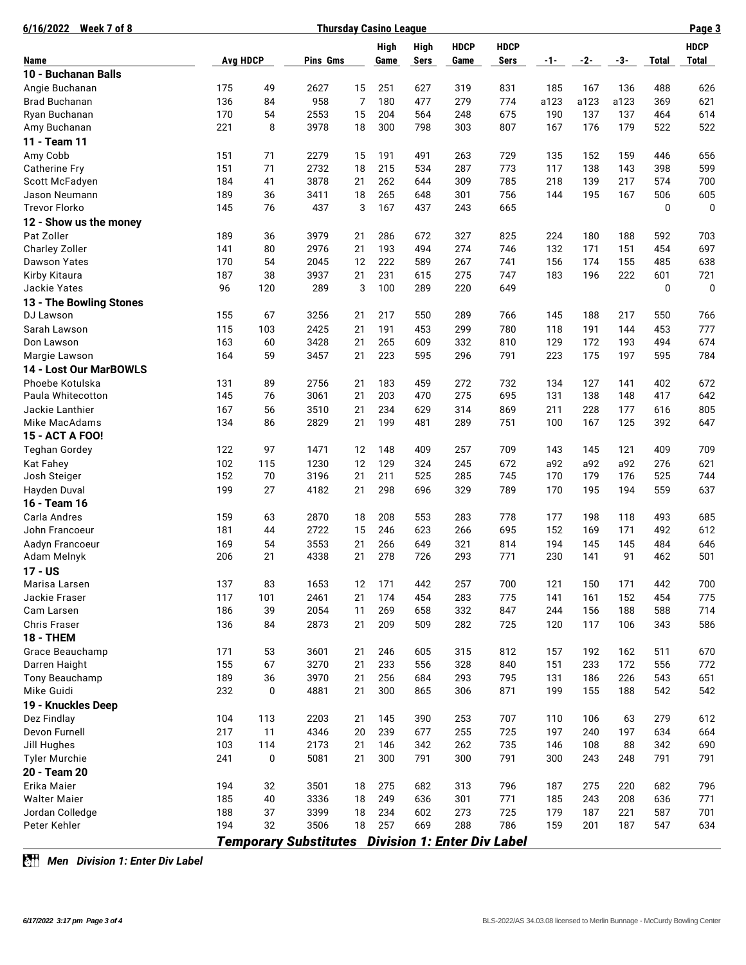| Week 7 of 8<br>6/16/2022 | <b>Thursday Casino League</b> |           |                                                          |    |      |             |             |             |       |       |      |       |              |
|--------------------------|-------------------------------|-----------|----------------------------------------------------------|----|------|-------------|-------------|-------------|-------|-------|------|-------|--------------|
|                          |                               |           |                                                          |    | High | <b>High</b> | <b>HDCP</b> | <b>HDCP</b> |       |       |      |       | <b>HDCP</b>  |
| Name                     | <b>Avg HDCP</b>               |           | Pins Gms                                                 |    | Game | <b>Sers</b> | Game        | Sers        | $-1-$ | $-2-$ | -3-  | Total | <b>Total</b> |
| 10 - Buchanan Balls      |                               |           |                                                          |    |      |             |             |             |       |       |      |       |              |
| Angie Buchanan           | 175                           | 49        | 2627                                                     | 15 | 251  | 627         | 319         | 831         | 185   | 167   | 136  | 488   | 626          |
| <b>Brad Buchanan</b>     | 136                           | 84        | 958                                                      | 7  | 180  | 477         | 279         | 774         | a123  | a123  | a123 | 369   | 621          |
| Ryan Buchanan            | 170                           | 54        | 2553                                                     | 15 | 204  | 564         | 248         | 675         | 190   | 137   | 137  | 464   | 614          |
| Amy Buchanan             | 221                           | 8         | 3978                                                     | 18 | 300  | 798         | 303         | 807         | 167   | 176   | 179  | 522   | 522          |
| 11 - Team 11             |                               |           |                                                          |    |      |             |             |             |       |       |      |       |              |
| Amy Cobb                 | 151                           | 71        | 2279                                                     | 15 | 191  | 491         | 263         | 729         | 135   | 152   | 159  | 446   | 656          |
| <b>Catherine Fry</b>     | 151                           | 71        | 2732                                                     | 18 | 215  | 534         | 287         | 773         | 117   | 138   | 143  | 398   | 599          |
| Scott McFadyen           | 184                           | 41        | 3878                                                     | 21 | 262  | 644         | 309         | 785         | 218   | 139   | 217  | 574   | 700          |
| Jason Neumann            | 189                           | 36        | 3411                                                     | 18 | 265  | 648         | 301         | 756         | 144   | 195   | 167  | 506   | 605          |
| <b>Trevor Florko</b>     | 145                           | 76        | 437                                                      | 3  | 167  | 437         | 243         | 665         |       |       |      | 0     | $\mathbf 0$  |
| 12 - Show us the money   |                               |           |                                                          |    |      |             |             |             |       |       |      |       |              |
| Pat Zoller               | 189                           | 36        | 3979                                                     | 21 | 286  | 672         | 327         | 825         | 224   | 180   | 188  | 592   | 703          |
| <b>Charley Zoller</b>    | 141                           | 80        | 2976                                                     | 21 | 193  | 494         | 274         | 746         | 132   | 171   | 151  | 454   | 697          |
| <b>Dawson Yates</b>      | 170                           | 54        | 2045                                                     | 12 | 222  | 589         | 267         | 741         | 156   | 174   | 155  | 485   | 638          |
| Kirby Kitaura            | 187                           | 38        | 3937                                                     | 21 | 231  | 615         | 275         | 747         | 183   | 196   | 222  | 601   | 721          |
| Jackie Yates             | 96                            | 120       | 289                                                      | 3  | 100  | 289         | 220         | 649         |       |       |      | 0     | $\mathbf 0$  |
| 13 - The Bowling Stones  |                               |           |                                                          |    |      |             |             |             |       |       |      |       |              |
| DJ Lawson                | 155                           | 67        | 3256                                                     | 21 | 217  | 550         | 289         | 766         | 145   | 188   | 217  | 550   | 766          |
| Sarah Lawson             | 115                           | 103       | 2425                                                     | 21 | 191  | 453         | 299         | 780         | 118   | 191   | 144  | 453   | 777          |
| Don Lawson               | 163                           | 60        | 3428                                                     | 21 | 265  | 609         | 332         | 810         | 129   | 172   | 193  | 494   | 674          |
| Margie Lawson            | 164                           | 59        | 3457                                                     | 21 | 223  | 595         | 296         | 791         | 223   | 175   | 197  | 595   | 784          |
| 14 - Lost Our MarBOWLS   |                               |           |                                                          |    |      |             |             |             |       |       |      |       |              |
| Phoebe Kotulska          | 131                           | 89        | 2756                                                     | 21 | 183  | 459         | 272         | 732         | 134   | 127   | 141  | 402   | 672          |
| Paula Whitecotton        | 145                           | 76        | 3061                                                     | 21 | 203  | 470         | 275         | 695         | 131   | 138   | 148  | 417   | 642          |
| Jackie Lanthier          | 167                           | 56        | 3510                                                     | 21 | 234  | 629         | 314         | 869         | 211   | 228   | 177  | 616   | 805          |
| Mike MacAdams            | 134                           | 86        | 2829                                                     | 21 | 199  | 481         | 289         | 751         | 100   | 167   | 125  | 392   | 647          |
| 15 - ACT A FOO!          |                               |           |                                                          |    |      |             |             |             |       |       |      |       |              |
| <b>Teghan Gordey</b>     | 122                           | 97        | 1471                                                     | 12 | 148  | 409         | 257         | 709         | 143   | 145   | 121  | 409   | 709          |
| <b>Kat Fahey</b>         | 102                           | 115       | 1230                                                     | 12 | 129  | 324         | 245         | 672         | a92   | a92   | a92  | 276   | 621          |
| Josh Steiger             | 152                           | 70        | 3196                                                     | 21 | 211  | 525         | 285         | 745         | 170   | 179   | 176  | 525   | 744          |
| Hayden Duval             | 199                           | 27        | 4182                                                     | 21 | 298  | 696         | 329         | 789         | 170   | 195   | 194  | 559   | 637          |
| 16 - Team 16             |                               |           |                                                          |    |      |             |             |             |       |       |      |       |              |
| Carla Andres             | 159                           | 63        | 2870                                                     | 18 | 208  | 553         | 283         | 778         | 177   | 198   | 118  | 493   | 685          |
| John Francoeur           | 181                           | 44        | 2722                                                     | 15 | 246  | 623         | 266         | 695         | 152   | 169   | 171  | 492   | 612          |
| Aadyn Francoeur          | 169                           | 54        | 3553                                                     | 21 | 266  | 649         | 321         | 814         | 194   | 145   | 145  | 484   | 646          |
| Adam Melnyk              | 206                           | 21        | 4338                                                     | 21 | 278  | 726         | 293         | 771         | 230   | 141   | 91   | 462   | 501          |
| 17 - US                  |                               |           |                                                          |    |      |             |             |             |       |       |      |       |              |
| Marisa Larsen            | 137                           | 83        | 1653                                                     | 12 | 171  | 442         | 257         | 700         | 121   | 150   | 171  | 442   | 700          |
| Jackie Fraser            | 117                           | 101       | 2461                                                     | 21 | 174  | 454         | 283         | 775         | 141   | 161   | 152  | 454   | 775          |
| Cam Larsen               | 186                           | 39        | 2054                                                     | 11 | 269  | 658         | 332         | 847         | 244   | 156   | 188  | 588   | 714          |
| <b>Chris Fraser</b>      | 136                           | 84        | 2873                                                     | 21 | 209  | 509         | 282         | 725         | 120   | 117   | 106  | 343   | 586          |
| <b>18 - THEM</b>         |                               |           |                                                          |    |      |             |             |             |       |       |      |       |              |
| Grace Beauchamp          | 171                           | 53        | 3601                                                     | 21 | 246  | 605         | 315         | 812         | 157   | 192   | 162  | 511   | 670          |
| Darren Haight            | 155                           | 67        | 3270                                                     | 21 | 233  | 556         | 328         | 840         | 151   | 233   | 172  | 556   | 772          |
| Tony Beauchamp           | 189                           | 36        | 3970                                                     | 21 | 256  | 684         | 293         | 795         | 131   | 186   | 226  | 543   | 651          |
| Mike Guidi               | 232                           | 0         | 4881                                                     | 21 | 300  | 865         | 306         | 871         | 199   | 155   | 188  | 542   | 542          |
| 19 - Knuckles Deep       |                               |           |                                                          |    |      |             |             |             |       |       |      |       |              |
| Dez Findlay              | 104                           | 113       | 2203                                                     | 21 | 145  | 390         | 253         | 707         | 110   | 106   | 63   | 279   | 612          |
| Devon Furnell            | 217                           | 11        | 4346                                                     | 20 | 239  | 677         | 255         | 725         | 197   | 240   | 197  | 634   | 664          |
| Jill Hughes              | 103                           | 114       | 2173                                                     | 21 | 146  | 342         | 262         | 735         | 146   | 108   | 88   | 342   | 690          |
| <b>Tyler Murchie</b>     | 241                           | $\pmb{0}$ | 5081                                                     | 21 | 300  | 791         | 300         | 791         | 300   | 243   | 248  | 791   | 791          |
| 20 - Team 20             |                               |           |                                                          |    |      |             |             |             |       |       |      |       |              |
| Erika Maier              | 194                           | 32        | 3501                                                     | 18 | 275  | 682         | 313         | 796         | 187   | 275   | 220  | 682   | 796          |
| <b>Walter Maier</b>      | 185                           | 40        | 3336                                                     | 18 | 249  | 636         | 301         | 771         | 185   | 243   | 208  | 636   | 771          |
| Jordan Colledge          | 188                           | 37        | 3399                                                     | 18 | 234  | 602         | 273         | 725         | 179   | 187   | 221  | 587   | 701          |
| Peter Kehler             | 194                           | 32        | 3506                                                     | 18 | 257  | 669         | 288         | 786         | 159   | 201   | 187  | 547   | 634          |
|                          |                               |           |                                                          |    |      |             |             |             |       |       |      |       |              |
|                          |                               |           | <b>Temporary Substitutes Division 1: Enter Div Label</b> |    |      |             |             |             |       |       |      |       |              |

*Men Division 1: Enter Div Label*